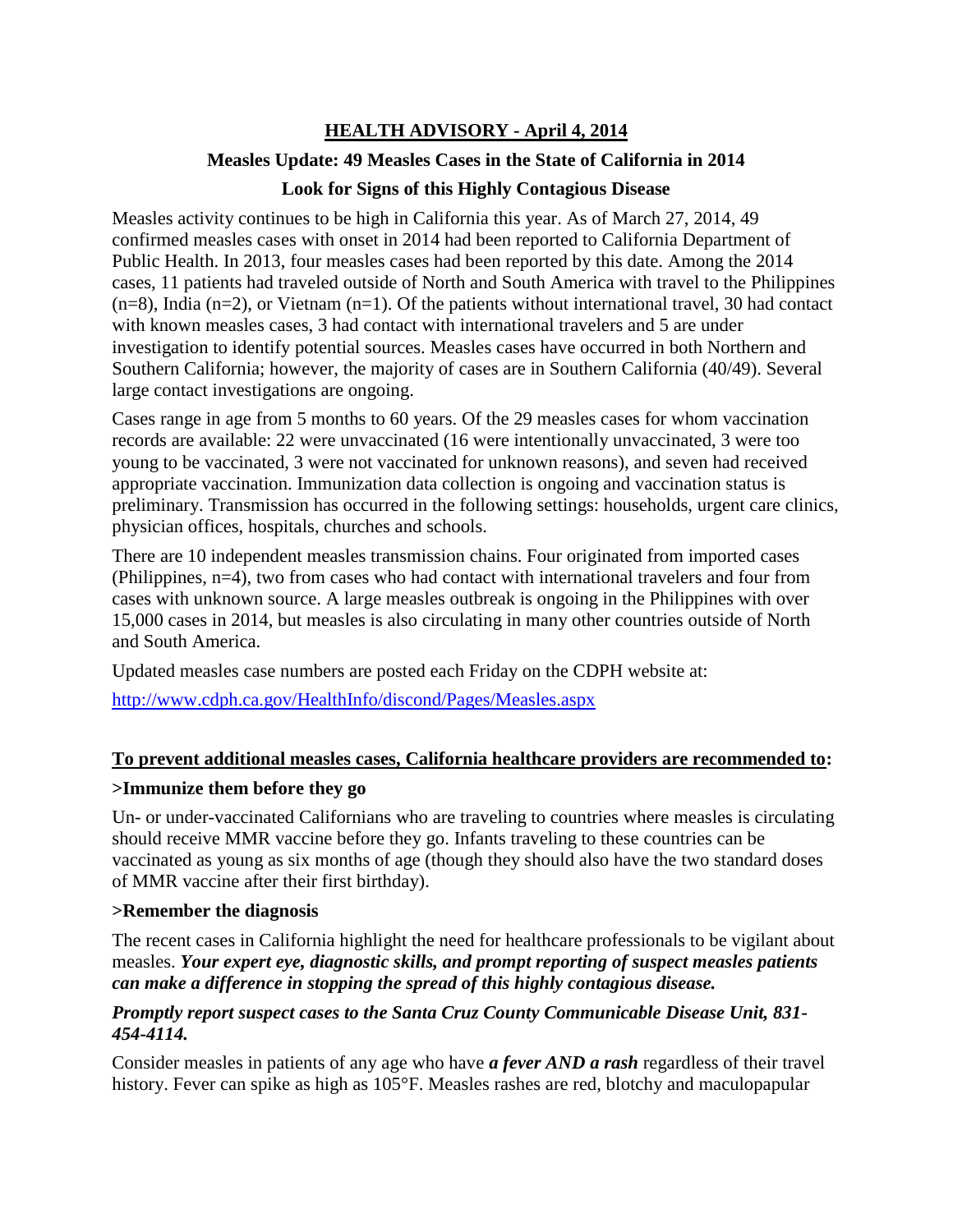# **HEALTH ADVISORY - April 4, 2014**

### **Measles Update: 49 Measles Cases in the State of California in 2014**

## **Look for Signs of this Highly Contagious Disease**

Measles activity continues to be high in California this year. As of March 27, 2014, 49 confirmed measles cases with onset in 2014 had been reported to California Department of Public Health. In 2013, four measles cases had been reported by this date. Among the 2014 cases, 11 patients had traveled outside of North and South America with travel to the Philippines  $(n=8)$ , India  $(n=2)$ , or Vietnam  $(n=1)$ . Of the patients without international travel, 30 had contact with known measles cases, 3 had contact with international travelers and 5 are under investigation to identify potential sources. Measles cases have occurred in both Northern and Southern California; however, the majority of cases are in Southern California (40/49). Several large contact investigations are ongoing.

Cases range in age from 5 months to 60 years. Of the 29 measles cases for whom vaccination records are available: 22 were unvaccinated (16 were intentionally unvaccinated, 3 were too young to be vaccinated, 3 were not vaccinated for unknown reasons), and seven had received appropriate vaccination. Immunization data collection is ongoing and vaccination status is preliminary. Transmission has occurred in the following settings: households, urgent care clinics, physician offices, hospitals, churches and schools.

There are 10 independent measles transmission chains. Four originated from imported cases (Philippines, n=4), two from cases who had contact with international travelers and four from cases with unknown source. A large measles outbreak is ongoing in the Philippines with over 15,000 cases in 2014, but measles is also circulating in many other countries outside of North and South America.

Updated measles case numbers are posted each Friday on the CDPH website at:

<http://www.cdph.ca.gov/HealthInfo/discond/Pages/Measles.aspx>

#### **To prevent additional measles cases, California healthcare providers are recommended to:**

#### **>Immunize them before they go**

Un- or under-vaccinated Californians who are traveling to countries where measles is circulating should receive MMR vaccine before they go. Infants traveling to these countries can be vaccinated as young as six months of age (though they should also have the two standard doses of MMR vaccine after their first birthday).

#### **>Remember the diagnosis**

The recent cases in California highlight the need for healthcare professionals to be vigilant about measles. *Your expert eye, diagnostic skills, and prompt reporting of suspect measles patients can make a difference in stopping the spread of this highly contagious disease.*

#### *Promptly report suspect cases to the Santa Cruz County Communicable Disease Unit, 831- 454-4114.*

Consider measles in patients of any age who have *a fever AND a rash* regardless of their travel history. Fever can spike as high as 105°F. Measles rashes are red, blotchy and maculopapular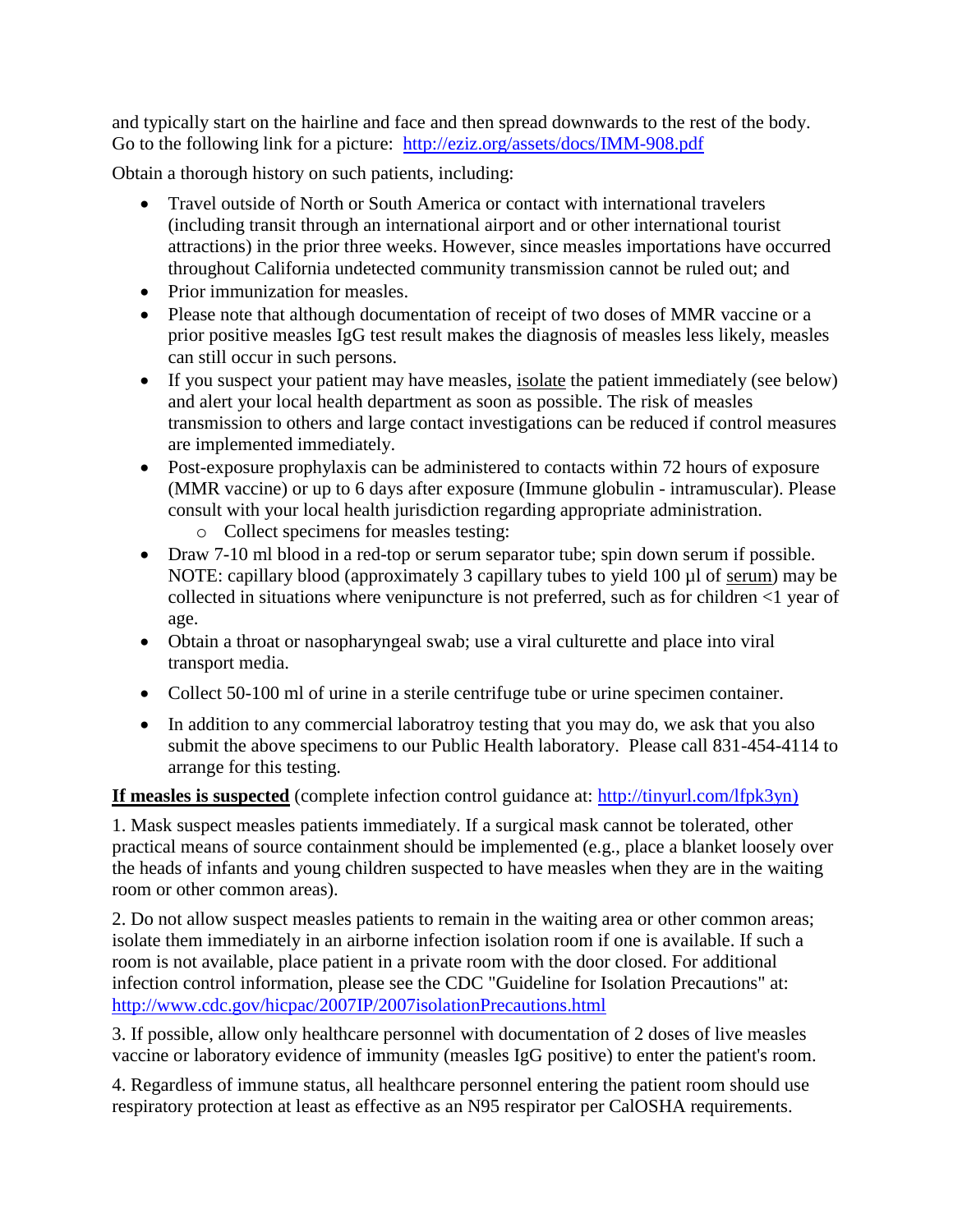and typically start on the hairline and face and then spread downwards to the rest of the body. Go to the following link for a picture: <http://eziz.org/assets/docs/IMM-908.pdf>

Obtain a thorough history on such patients, including:

- Travel outside of North or South America or contact with international travelers (including transit through an international airport and or other international tourist attractions) in the prior three weeks. However, since measles importations have occurred throughout California undetected community transmission cannot be ruled out; and
- Prior immunization for measles.
- Please note that although documentation of receipt of two doses of MMR vaccine or a prior positive measles IgG test result makes the diagnosis of measles less likely, measles can still occur in such persons.
- If you suspect your patient may have measles, isolate the patient immediately (see below) and alert your local health department as soon as possible. The risk of measles transmission to others and large contact investigations can be reduced if control measures are implemented immediately.
- Post-exposure prophylaxis can be administered to contacts within 72 hours of exposure (MMR vaccine) or up to 6 days after exposure (Immune globulin - intramuscular). Please consult with your local health jurisdiction regarding appropriate administration.
	- o Collect specimens for measles testing:
- Draw 7-10 ml blood in a red-top or serum separator tube; spin down serum if possible. NOTE: capillary blood (approximately 3 capillary tubes to yield 100 µl of serum) may be collected in situations where venipuncture is not preferred, such as for children <1 year of age.
- Obtain a throat or nasopharyngeal swab; use a viral culturette and place into viral transport media.
- Collect 50-100 ml of urine in a sterile centrifuge tube or urine specimen container.
- In addition to any commercial laboratroy testing that you may do, we ask that you also submit the above specimens to our Public Health laboratory. Please call 831-454-4114 to arrange for this testing.

#### **If measles is suspected** (complete infection control guidance at: [http://tinyurl.com/lfpk3yn\)](http://tinyurl.com/lfpk3yn)

1. Mask suspect measles patients immediately. If a surgical mask cannot be tolerated, other practical means of source containment should be implemented (e.g., place a blanket loosely over the heads of infants and young children suspected to have measles when they are in the waiting room or other common areas).

2. Do not allow suspect measles patients to remain in the waiting area or other common areas; isolate them immediately in an airborne infection isolation room if one is available. If such a room is not available, place patient in a private room with the door closed. For additional infection control information, please see the CDC "Guideline for Isolation Precautions" at: <http://www.cdc.gov/hicpac/2007IP/2007isolationPrecautions.html>

3. If possible, allow only healthcare personnel with documentation of 2 doses of live measles vaccine or laboratory evidence of immunity (measles IgG positive) to enter the patient's room.

4. Regardless of immune status, all healthcare personnel entering the patient room should use respiratory protection at least as effective as an N95 respirator per CalOSHA requirements.